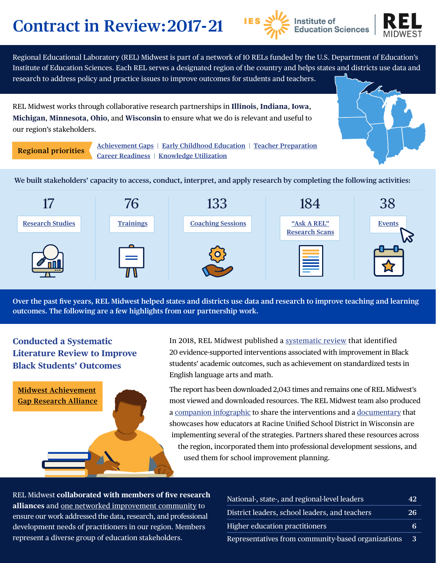# **Contract in Review: 2017-21**





Regional Educational Laboratory (REL) Midwest is part of a network of 10 RELs funded by the U.S. Department of Education's Institute of Education Sciences. Each REL serves a designated region of the country and helps states and districts use data and research to address policy and practice issues to improve outcomes for students and teachers.

REL Midwest works through collaborative research partnerships in **Illinois**, **Indiana**, **Iowa**, **Michigan**, **Minnesota**, **Ohio**, and **Wisconsin** to ensure what we do is relevant and useful to our region's stakeholders.

**Regional priorities** 

**[Achievement Gaps](https://ies.ed.gov/ncee/edlabs/regions/midwest/partnerships/midwest_achievement_gap_research_alliance.aspx) | [Early Childhood Education](https://ies.ed.gov/ncee/edlabs/regions/midwest/partnerships/midwest_early_childhood_education_research_alliance.aspx) | [Teacher Preparation](https://ies.ed.gov/ncee/edlabs/regions/midwest/partnerships/midwest_alliance_to_improve_teacher_preparation.aspx) [Career Readiness](https://ies.ed.gov/ncee/edlabs/regions/midwest/partnerships/midwest_career_readiness_research_alliance.aspx) | [Knowledge Utilization](https://ies.ed.gov/ncee/edlabs/regions/midwest/partnerships/midwest-alliance-to-improve-knowledge-utilization.aspx)** 

**We built stakeholders' capacity to access, conduct, interpret, and apply research by completing the following activities:** 



**Over the past five years, REL Midwest helped states and districts use data and research to improve teaching and learning outcomes. The following are a few highlights from our partnership work.** 

## **Conducted a Systematic Literature Review to Improve Black Students' Outcomes**



In 2018, REL Midwest published a [systematic review](https://eric.ed.gov/?id=ED581117) that identified 20 evidence-supported interventions associated with improvement in Black students' academic outcomes, such as achievement on standardized tests in English language arts and math.

The report has been downloaded 2,043 times and remains one of REL Midwest's most viewed and downloaded resources. The REL Midwest team also produced a [companion infographic](https://ies.ed.gov/ncee/edlabs/infographics/pdf/REL_MW_Promising_Practices_to_Increase_the_Academic_Success_of_Black_Students.pdf) to share the interventions and a [documentary](https://ies.ed.gov/ncee/edlabs/regions/midwest/events/2019/november-13.aspx) that showcases how educators at Racine Unified School District in Wisconsin are implementing several of the strategies. Partners shared these resources across the region, incorporated them into professional development sessions, and used them for school improvement planning.

REL Midwest **collaborated with members of five research alliances** and [one networked improvement community](https://ies.ed.gov/ncee/edlabs/regions/midwest/Partnerships/iowa_learning_and_technology_networked_improvement.aspx) to ensure our work addressed the data, research, and professional development needs of practitioners in our region. Members represent a diverse group of education stakeholders.

| National-, state-, and regional-level leaders      | 42 |
|----------------------------------------------------|----|
| District leaders, school leaders, and teachers     | 26 |
| Higher education practitioners                     | 6  |
| Representatives from community-based organizations | 3  |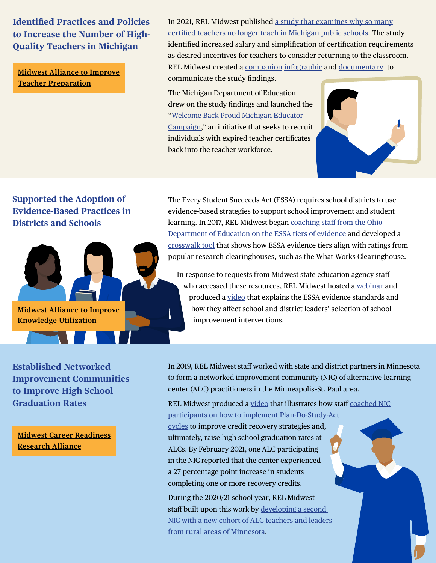**Identified Practices and Policies to Increase the Number of High-Quality Teachers in Michigan** 

**[Midwest Alliance to Improve](https://ies.ed.gov/ncee/edlabs/regions/midwest/partnerships/midwest_alliance_to_improve_teacher_preparation.aspx)  [Teacher Preparation](https://ies.ed.gov/ncee/edlabs/regions/midwest/partnerships/midwest_alliance_to_improve_teacher_preparation.aspx)** 

In 2021, REL Midwest published [a study that examines why so many](https://ies.ed.gov/ncee/edlabs/projects/project.asp?projectID=4618) [certified teachers no longer teach in Michigan public schools](https://ies.ed.gov/ncee/edlabs/projects/project.asp?projectID=4618). The study identified increased salary and simplification of certification requirements as desired incentives for teachers to consider returning to the classroom. REL Midwest created a companion [infographic](https://ies.ed.gov/ncee/edlabs/regions/midwest/pdf/REL_MW_Understanding_the_Incentives_that_Could_Motivate_Certified_Nonteaching_Teachers_to_Teach_in_Michigan.pdf) and [documentary](https://ies.ed.gov/ncee/edlabs/regions/midwest/videos/teachers-who-arent-teaching.aspx) to communicate the study findings.

The Michigan Department of Education drew on the study findings and launched the ["Welcome Back Proud Michigan Educator](https://www.michigan.gov/mde/0,4615,7-140-5683_14795_83462-556448--,00.html) [Campaign](https://www.michigan.gov/mde/0,4615,7-140-5683_14795_83462-556448--,00.html)," an initiative that seeks to recruit individuals with expired teacher certificates back into the teacher workforce.



## **Supported the Adoption of Evidence-Based Practices in Districts and Schools**

The Every Student Succeeds Act (ESSA) requires school districts to use evidence-based strategies to support school improvement and student learning. In 2017, REL Midwest began [coaching staff from the Ohio](https://ies.ed.gov/ncee/edlabs/regions/midwest/blogs/states-equip-school-districts-adopt-evidence-based-interventions.aspx)  [Department of Education on the ESSA tiers of evidence](https://ies.ed.gov/ncee/edlabs/regions/midwest/blogs/states-equip-school-districts-adopt-evidence-based-interventions.aspx) and developed a [crosswalk tool](https://ies.ed.gov/ncee/edlabs/regions/midwest/training-and-coaching/ESSA-clearinghouse-evidence-crosswalk.aspx) that shows how ESSA evidence tiers align with ratings from popular research clearinghouses, such as the What Works Clearinghouse.

In response to requests from Midwest state education agency staff who accessed these resources, REL Midwest hosted a [webinar](https://ies.ed.gov/ncee/edlabs/regions/midwest/events/2020/march-6.aspx) and produced a [video](https://ies.ed.gov/ncee/edlabs/regions/midwest/blogs/understanding-essa-evidence-tiers-video.aspx) that explains the ESSA evidence standards and how they affect school and district leaders' selection of school improvement interventions.

**Established Networked Improvement Communities to Improve High School Graduation Rates** 

**[Midwest Alliance to Improve](https://ies.ed.gov/ncee/edlabs/regions/midwest/partnerships/midwest-alliance-to-improve-knowledge-utilization.aspx)** 

**[Knowledge Utilization](https://ies.ed.gov/ncee/edlabs/regions/midwest/partnerships/midwest-alliance-to-improve-knowledge-utilization.aspx)** 

**[Midwest Career Readiness](https://ies.ed.gov/ncee/edlabs/regions/midwest/partnerships/midwest_career_readiness_research_alliance.aspx) [Research Alliance](https://ies.ed.gov/ncee/edlabs/regions/midwest/partnerships/midwest_career_readiness_research_alliance.aspx)** 

In 2019, REL Midwest staff worked with state and district partners in Minnesota to form a networked improvement community (NIC) of alternative learning center (ALC) practitioners in the Minneapolis–St. Paul area.

REL Midwest produced a [video](https://ies.ed.gov/ncee/edlabs/regions/midwest/videos/using-data.aspx) that illustrates how staff [coached NIC](https://ies.ed.gov/ncee/edlabs/regions/midwest/blogs/setting-goals-graduation-rates.aspx) [participants on how to implement Plan-Do-Study-Act](https://ies.ed.gov/ncee/edlabs/regions/midwest/blogs/setting-goals-graduation-rates.aspx) 

[cycles](https://ies.ed.gov/ncee/edlabs/regions/midwest/blogs/setting-goals-graduation-rates.aspx) to improve credit recovery strategies and, ultimately, raise high school graduation rates at ALCs. By February 2021, one ALC participating in the NIC reported that the center experienced a 27 percentage point increase in students completing one or more recovery credits.

During the 2020/21 school year, REL Midwest staff built upon this work by [developing a second](https://ies.ed.gov/ncee/edlabs/regions/midwest/blogs/virtual-NIC-lessons-learned.aspx)  [NIC with a new cohort of ALC teachers and leaders](https://ies.ed.gov/ncee/edlabs/regions/midwest/blogs/virtual-NIC-lessons-learned.aspx)  [from rural areas of Minnesota](https://ies.ed.gov/ncee/edlabs/regions/midwest/blogs/virtual-NIC-lessons-learned.aspx).